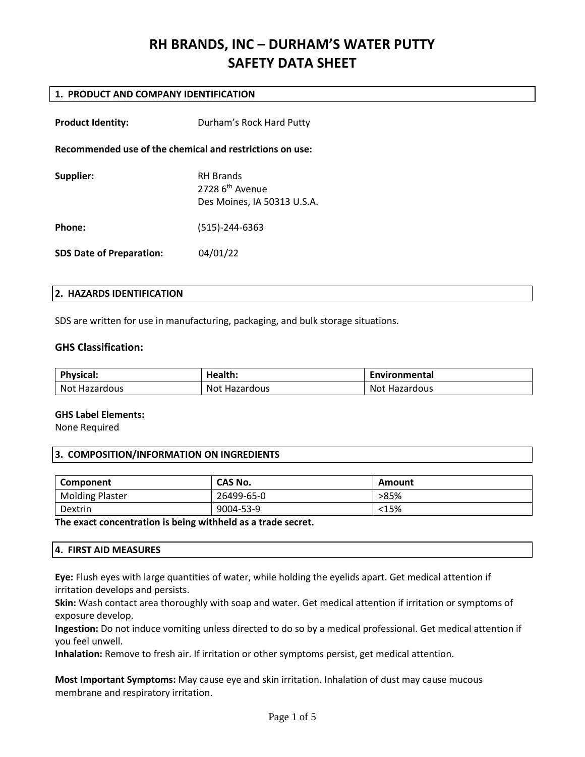# **RH BRANDS, INC – DURHAM'S WATER PUTTY SAFETY DATA SHEET**

## **1. PRODUCT AND COMPANY IDENTIFICATION**

| <b>Product Identity:</b>                                 | Durham's Rock Hard Putty                                                         |  |  |
|----------------------------------------------------------|----------------------------------------------------------------------------------|--|--|
| Recommended use of the chemical and restrictions on use: |                                                                                  |  |  |
| Supplier:                                                | <b>RH</b> Brands<br>$2728$ 6 <sup>th</sup> Avenue<br>Des Moines, IA 50313 U.S.A. |  |  |
| <b>Phone:</b>                                            | $(515)-244-6363$                                                                 |  |  |
| <b>SDS Date of Preparation:</b>                          | 04/01/22                                                                         |  |  |

## **2. HAZARDS IDENTIFICATION**

SDS are written for use in manufacturing, packaging, and bulk storage situations.

## **GHS Classification:**

| <b>Physical:</b> | Health:       | Environmental        |
|------------------|---------------|----------------------|
| Not Hazardous    | Not Hazardous | <b>Not Hazardous</b> |

## **GHS Label Elements:**

None Required

## **3. COMPOSITION/INFORMATION ON INGREDIENTS**

| Component              | CAS No.    | Amount  |
|------------------------|------------|---------|
| <b>Molding Plaster</b> | 26499-65-0 | $>85\%$ |
| Dextrin                | 9004-53-9  | <15%    |

**The exact concentration is being withheld as a trade secret.**

## **4. FIRST AID MEASURES**

**Eye:** Flush eyes with large quantities of water, while holding the eyelids apart. Get medical attention if irritation develops and persists.

**Skin:** Wash contact area thoroughly with soap and water. Get medical attention if irritation or symptoms of exposure develop.

**Ingestion:** Do not induce vomiting unless directed to do so by a medical professional. Get medical attention if you feel unwell.

**Inhalation:** Remove to fresh air. If irritation or other symptoms persist, get medical attention.

**Most Important Symptoms:** May cause eye and skin irritation. Inhalation of dust may cause mucous membrane and respiratory irritation.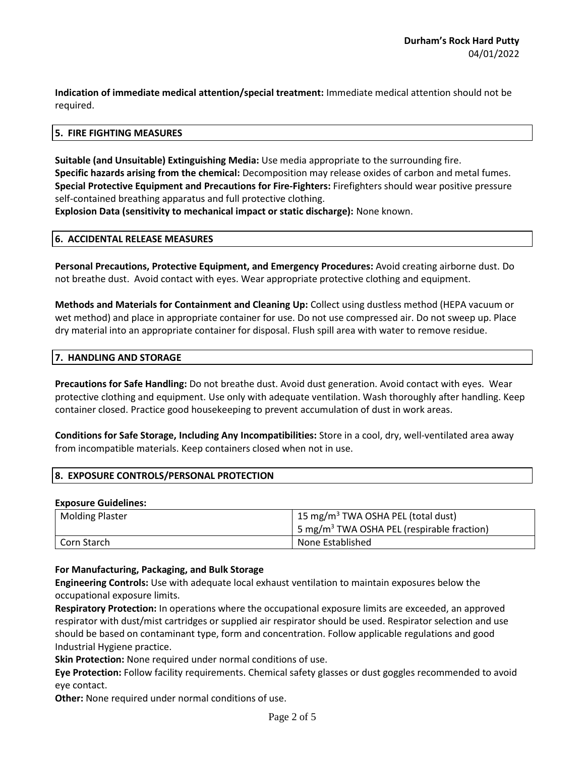**Indication of immediate medical attention/special treatment:** Immediate medical attention should not be required.

## **5. FIRE FIGHTING MEASURES**

**Suitable (and Unsuitable) Extinguishing Media:** Use media appropriate to the surrounding fire. **Specific hazards arising from the chemical:** Decomposition may release oxides of carbon and metal fumes. **Special Protective Equipment and Precautions for Fire-Fighters:** Firefighters should wear positive pressure self-contained breathing apparatus and full protective clothing.

**Explosion Data (sensitivity to mechanical impact or static discharge):** None known.

## **6. ACCIDENTAL RELEASE MEASURES**

**Personal Precautions, Protective Equipment, and Emergency Procedures:** Avoid creating airborne dust. Do not breathe dust. Avoid contact with eyes. Wear appropriate protective clothing and equipment.

**Methods and Materials for Containment and Cleaning Up:** Collect using dustless method (HEPA vacuum or wet method) and place in appropriate container for use. Do not use compressed air. Do not sweep up. Place dry material into an appropriate container for disposal. Flush spill area with water to remove residue.

## **7. HANDLING AND STORAGE**

**Precautions for Safe Handling:** Do not breathe dust. Avoid dust generation. Avoid contact with eyes. Wear protective clothing and equipment. Use only with adequate ventilation. Wash thoroughly after handling. Keep container closed. Practice good housekeeping to prevent accumulation of dust in work areas.

**Conditions for Safe Storage, Including Any Incompatibilities:** Store in a cool, dry, well-ventilated area away from incompatible materials. Keep containers closed when not in use.

## **8. EXPOSURE CONTROLS/PERSONAL PROTECTION**

## **Exposure Guidelines:**

| <b>Molding Plaster</b> | 15 mg/m <sup>3</sup> TWA OSHA PEL (total dust)                       |  |
|------------------------|----------------------------------------------------------------------|--|
|                        | $\frac{1}{2}$ 5 mg/m <sup>3</sup> TWA OSHA PEL (respirable fraction) |  |
| Corn Starch            | None Established                                                     |  |

## **For Manufacturing, Packaging, and Bulk Storage**

**Engineering Controls:** Use with adequate local exhaust ventilation to maintain exposures below the occupational exposure limits.

**Respiratory Protection:** In operations where the occupational exposure limits are exceeded, an approved respirator with dust/mist cartridges or supplied air respirator should be used. Respirator selection and use should be based on contaminant type, form and concentration. Follow applicable regulations and good Industrial Hygiene practice.

**Skin Protection:** None required under normal conditions of use.

**Eye Protection:** Follow facility requirements. Chemical safety glasses or dust goggles recommended to avoid eye contact.

**Other:** None required under normal conditions of use.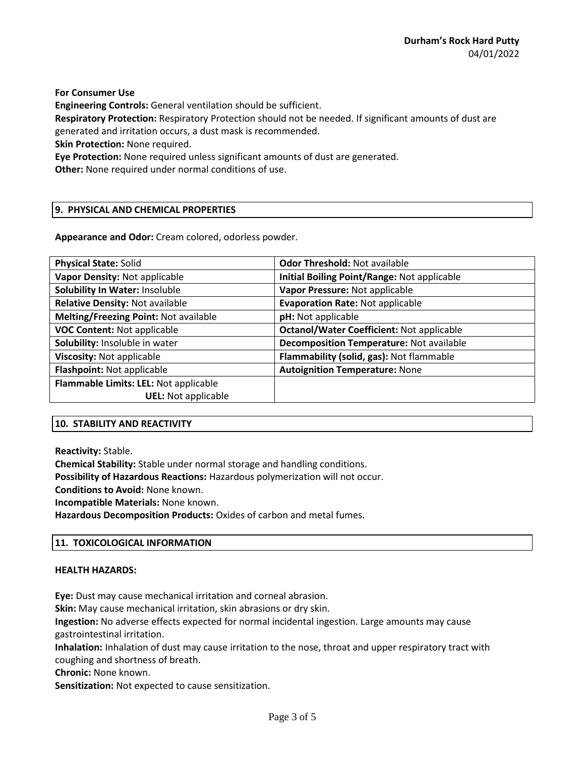**For Consumer Use**

**Engineering Controls:** General ventilation should be sufficient.

**Respiratory Protection:** Respiratory Protection should not be needed. If significant amounts of dust are

generated and irritation occurs, a dust mask is recommended.

**Skin Protection:** None required.

**Eye Protection:** None required unless significant amounts of dust are generated.

**Other:** None required under normal conditions of use.

## **9. PHYSICAL AND CHEMICAL PROPERTIES**

**Appearance and Odor:** Cream colored, odorless powder.

| <b>Physical State: Solid</b>          | <b>Odor Threshold: Not available</b>             |
|---------------------------------------|--------------------------------------------------|
| Vapor Density: Not applicable         | Initial Boiling Point/Range: Not applicable      |
| Solubility In Water: Insoluble        | Vapor Pressure: Not applicable                   |
| Relative Density: Not available       | <b>Evaporation Rate: Not applicable</b>          |
| Melting/Freezing Point: Not available | pH: Not applicable                               |
| <b>VOC Content: Not applicable</b>    | <b>Octanol/Water Coefficient: Not applicable</b> |
| Solubility: Insoluble in water        | Decomposition Temperature: Not available         |
| Viscosity: Not applicable             | Flammability (solid, gas): Not flammable         |
| Flashpoint: Not applicable            | <b>Autoignition Temperature: None</b>            |
| Flammable Limits: LEL: Not applicable |                                                  |
| <b>UEL: Not applicable</b>            |                                                  |

## **10. STABILITY AND REACTIVITY**

**Reactivity:** Stable.

**Chemical Stability:** Stable under normal storage and handling conditions.

**Possibility of Hazardous Reactions:** Hazardous polymerization will not occur.

**Conditions to Avoid:** None known.

**Incompatible Materials:** None known.

**Hazardous Decomposition Products:** Oxides of carbon and metal fumes.

## **11. TOXICOLOGICAL INFORMATION**

## **HEALTH HAZARDS:**

**Eye:** Dust may cause mechanical irritation and corneal abrasion.

**Skin:** May cause mechanical irritation, skin abrasions or dry skin.

**Ingestion:** No adverse effects expected for normal incidental ingestion. Large amounts may cause gastrointestinal irritation.

**Inhalation:** Inhalation of dust may cause irritation to the nose, throat and upper respiratory tract with coughing and shortness of breath.

**Chronic:** None known.

**Sensitization:** Not expected to cause sensitization.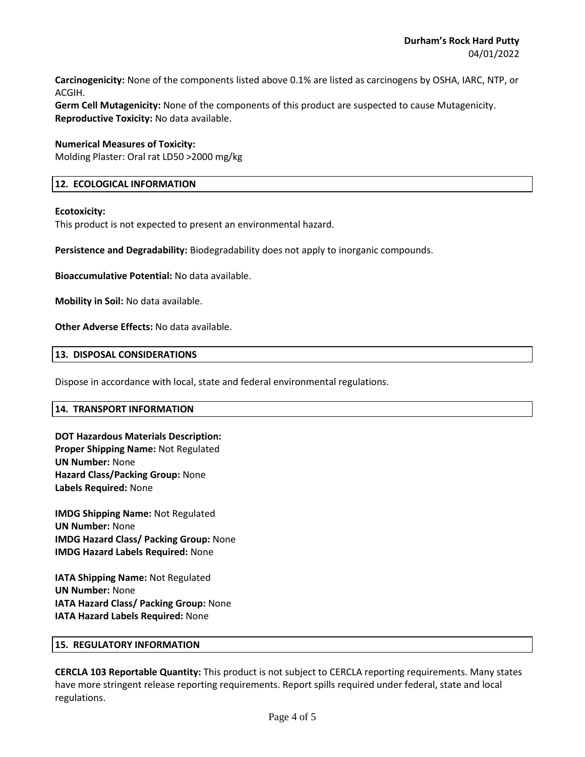**Carcinogenicity:** None of the components listed above 0.1% are listed as carcinogens by OSHA, IARC, NTP, or ACGIH.

**Germ Cell Mutagenicity:** None of the components of this product are suspected to cause Mutagenicity. **Reproductive Toxicity:** No data available.

## **Numerical Measures of Toxicity:**

Molding Plaster: Oral rat LD50 >2000 mg/kg

## **12. ECOLOGICAL INFORMATION**

## **Ecotoxicity:**

This product is not expected to present an environmental hazard.

**Persistence and Degradability:** Biodegradability does not apply to inorganic compounds.

**Bioaccumulative Potential:** No data available.

**Mobility in Soil:** No data available.

**Other Adverse Effects:** No data available.

## **13. DISPOSAL CONSIDERATIONS**

Dispose in accordance with local, state and federal environmental regulations.

## **14. TRANSPORT INFORMATION**

**DOT Hazardous Materials Description: Proper Shipping Name:** Not Regulated **UN Number:** None **Hazard Class/Packing Group:** None **Labels Required:** None

**IMDG Shipping Name:** Not Regulated **UN Number:** None **IMDG Hazard Class/ Packing Group:** None **IMDG Hazard Labels Required:** None

**IATA Shipping Name:** Not Regulated **UN Number:** None **IATA Hazard Class/ Packing Group:** None **IATA Hazard Labels Required:** None

## **15. REGULATORY INFORMATION**

**CERCLA 103 Reportable Quantity:** This product is not subject to CERCLA reporting requirements. Many states have more stringent release reporting requirements. Report spills required under federal, state and local regulations.